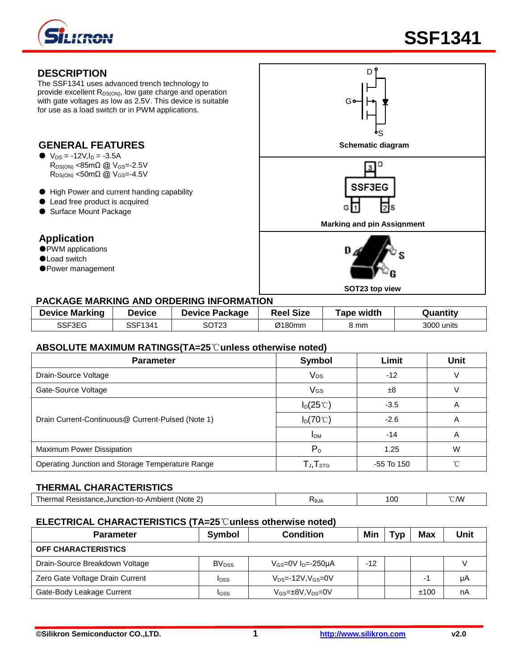

## **DESCRIPTION**

The SSF1341 uses advanced trench technology to provide excellent R<sub>DS(ON)</sub>, low gate charge and operation with gate voltages as low as 2.5V. This device is suitable for use as a load switch or in PWM applications.

# **GENERAL FEATURES**

- $V_{DS} = -12V, I_D = -3.5A$  $R_{DS(ON)}$  <85m $\Omega$  @  $V_{GS}$ =-2.5V  $R_{DS(ON)}$  <50mΩ @ V<sub>GS</sub>=-4.5V
- High Power and current handing capability
- Lead free product is acquired
- Surface Mount Package

## **Application**

- PWM applications
- ●Load switch
- ●Power management



#### **PACKAGE MARKING AND ORDERING INFORMATION**

| <b>Device Marking</b> | Device  | <b>Device Package</b> | <b>Reel Size</b> | <b>Tape width</b> | Quantity   |
|-----------------------|---------|-----------------------|------------------|-------------------|------------|
| SSF3EG                | SSF1341 | SOT23                 | Ø180mm           | კ mm              | 3000 units |

#### **ABSOLUTE MAXIMUM RATINGS(TA=25**℃**unless otherwise noted)**

| <b>Parameter</b>                                  | Symbol                                                | Limit        | <b>Unit</b> |
|---------------------------------------------------|-------------------------------------------------------|--------------|-------------|
| Drain-Source Voltage                              | <b>V<sub>DS</sub></b>                                 | $-12$        | V           |
| Gate-Source Voltage                               | VGS                                                   | ±8           |             |
|                                                   | $I_D(25^{\circ}C)$                                    | $-3.5$       | A           |
| Drain Current-Continuous@ Current-Pulsed (Note 1) | $I_D(70^{\circ}C)$                                    | $-2.6$       | A           |
|                                                   | <b>IDM</b>                                            | $-14$        | Α           |
| Maximum Power Dissipation                         | $P_D$                                                 | 1.25         | W           |
| Operating Junction and Storage Temperature Range  | ${\mathsf T}_{\mathsf J}, {\mathsf T}_{\textsf{STG}}$ | $-55$ To 150 | °∩°         |

#### **THERMAL CHARACTERISTICS**

| (Note<br>Resistance.Junction-to-Ambient<br>l herm:<br>1d I | <b>Albr</b> | 10C<br>$\cdot$ $\cdot$ $\cdot$ | $^{\circ}$ CMV<br>$\sim$ / V I |
|------------------------------------------------------------|-------------|--------------------------------|--------------------------------|
|                                                            |             |                                |                                |

## **ELECTRICAL CHARACTERISTICS (TA=25**℃**unless otherwise noted)**

| <b>Parameter</b>                | Symbol                  | <b>Condition</b>               | Min   | Typ | Max  | Unit |
|---------------------------------|-------------------------|--------------------------------|-------|-----|------|------|
| <b>OFF CHARACTERISTICS</b>      |                         |                                |       |     |      |      |
| Drain-Source Breakdown Voltage  | <b>BV<sub>DSS</sub></b> | $V_{GS}$ =0V $I_D$ =-250µA     | $-12$ |     |      |      |
| Zero Gate Voltage Drain Current | <b>I</b> DSS            | $V_{DS}$ =-12V, $V_{GS}$ =0V   |       |     |      | μA   |
| Gate-Body Leakage Current       | <b>I</b> GSS            | $V_{GS} = \pm 8V, V_{DS} = 0V$ |       |     | ±100 | nA   |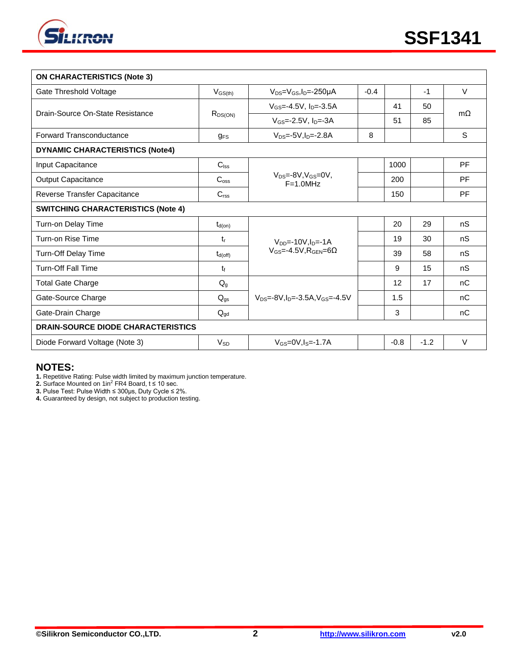

| <b>ON CHARACTERISTICS (Note 3)</b>        |                     |                                                  |        |        |        |             |
|-------------------------------------------|---------------------|--------------------------------------------------|--------|--------|--------|-------------|
| Gate Threshold Voltage                    | $V_{GS(th)}$        | $V_{DS}=V_{GS}$ , I <sub>D</sub> =-250µA         | $-0.4$ |        | $-1$   | $\vee$      |
| Drain-Source On-State Resistance          | $R_{DS(ON)}$        | $V$ <sub>GS</sub> =-4.5V, $ID=-3.5A$             |        | 41     | 50     |             |
|                                           |                     | $V_{GS} = -2.5V$ , $I_{D} = -3A$                 |        | 51     | 85     | mO.         |
| <b>Forward Transconductance</b>           | <b>gFS</b>          | $V_{DS} = -5V \cdot ln = -2.8A$                  | 8      |        |        | $\mathbf S$ |
| <b>DYNAMIC CHARACTERISTICS (Note4)</b>    |                     |                                                  |        |        |        |             |
| Input Capacitance                         | $C_{\text{lss}}$    |                                                  |        | 1000   |        | PF          |
| Output Capacitance                        | $C_{\rm oss}$       | $V_{DS} = -8V \cdot V_{GS} = 0V$ .<br>$F=1.0MHz$ |        | 200    |        | PF          |
| Reverse Transfer Capacitance              | C <sub>rss</sub>    |                                                  |        | 150    |        | PF          |
| <b>SWITCHING CHARACTERISTICS (Note 4)</b> |                     |                                                  |        |        |        |             |
| Turn-on Delay Time                        | $t_{d(on)}$         |                                                  |        | 20     | 29     | nS          |
| Turn-on Rise Time                         | $t_{r}$             | $V_{DD} = -10V I_{D} = -1A$                      |        | 19     | 30     | nS          |
| Turn-Off Delay Time                       | $t_{d(\text{off})}$ | $V_{GS} = -4.5V$ . RGEN=60                       |        | 39     | 58     | nS          |
| <b>Turn-Off Fall Time</b>                 | t                   |                                                  |        | 9      | 15     | nS          |
| <b>Total Gate Charge</b>                  | $Q_{q}$             |                                                  |        | 12     | 17     | nC          |
| Gate-Source Charge                        | $Q_{gs}$            | $V_{DS} = -8V I_{D} = -3.5A$ , $V_{GS} = -4.5V$  |        | 1.5    |        | nC          |
| Gate-Drain Charge                         | $Q_{\text{ad}}$     |                                                  |        | 3      |        | nC          |
| <b>DRAIN-SOURCE DIODE CHARACTERISTICS</b> |                     |                                                  |        |        |        |             |
| Diode Forward Voltage (Note 3)            | $V_{SD}$            | $V_{GS}$ =0V, $I_{S}$ =-1.7A                     |        | $-0.8$ | $-1.2$ | $\vee$      |

#### **NOTES:**

**1.** Repetitive Rating: Pulse width limited by maximum junction temperature.<br>**2.** Surface Mounted on 1in<sup>2</sup> FR4 Board, t ≤ 10 sec.

**3.** Pulse Test: Pulse Width ≤ 300μs, Duty Cycle ≤ 2%.

**4.** Guaranteed by design, not subject to production testing.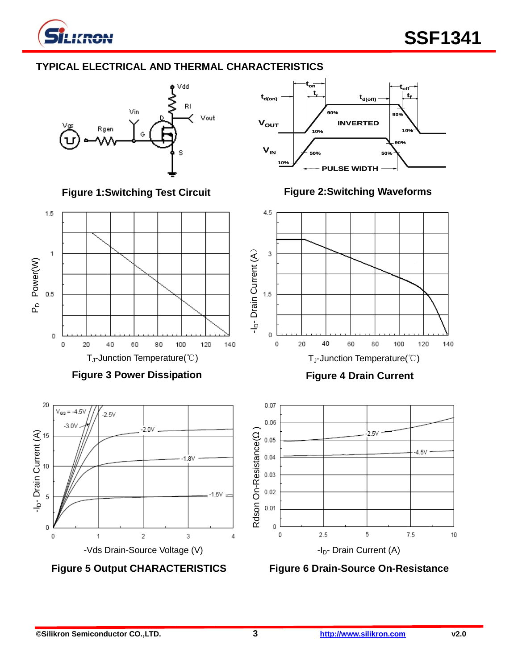

# **TYPICAL ELECTRICAL AND THERMAL CHARACTERISTICS**



**VIN**  $V_{\text{OUT}}$ **10% 10% 50% 50% PULSE WIDTH INVERTED td(on) 90% t r ton 90% 10% toff td(off) t f 90%**

**Figure 2:Switching Waveforms**

**Figure 1:Switching Test Circuit**



**Figure 5 Output CHARACTERISTICS**

**Figure 6 Drain-Source On-Resistance**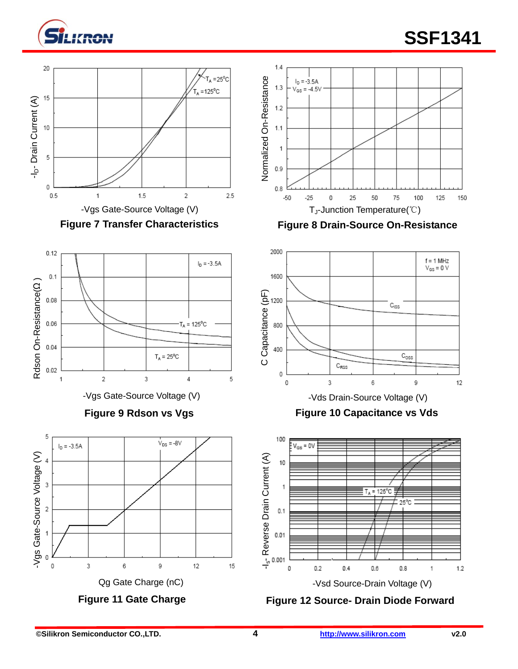







**Figure 9 Rdson vs Vgs**



 $V_{DS}$  = -8V



**Figure 8 Drain-Source On-Resistance**











3

Qg Gate Charge (nC)

9

12

15

**Figure 11 Gate Charge**

6

(v) aparov as hoo-aran spy-

Vgs Gate-Source Voltage (V)

5

3

 $\overline{\mathbf{c}}$ 

 $\overline{0}$ 

 $I_D = -3.5A$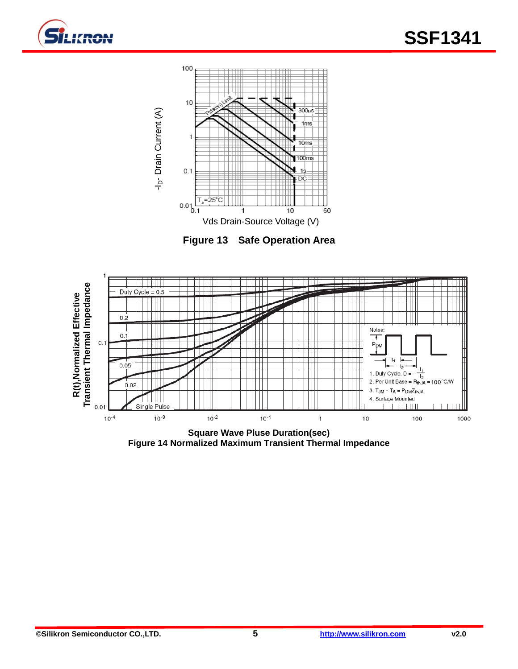



**Figure 13 Safe Operation Area**



**Figure 14 Normalized Maximum Transient Thermal Impedance**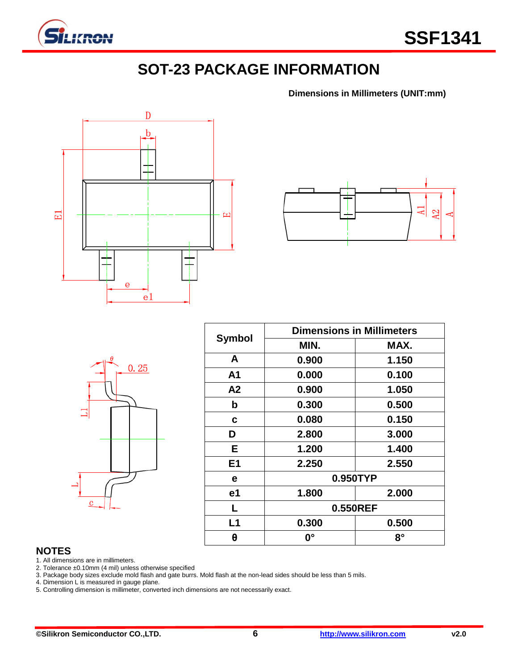

# **SOT-23 PACKAGE INFORMATION**

**Dimensions in Millimeters (UNIT:mm)**





|                | $\theta$ | 0.25 |  |
|----------------|----------|------|--|
|                |          |      |  |
|                |          |      |  |
| $\overline{c}$ |          |      |  |

| <b>Symbol</b>  | <b>Dimensions in Millimeters</b> |           |  |  |  |
|----------------|----------------------------------|-----------|--|--|--|
|                | MIN.                             | MAX.      |  |  |  |
| A              | 0.900                            | 1.150     |  |  |  |
| A1             | 0.000                            | 0.100     |  |  |  |
| A2             | 0.900                            | 1.050     |  |  |  |
| b              | 0.300                            | 0.500     |  |  |  |
| C              | 0.080                            | 0.150     |  |  |  |
| D              | 2.800                            | 3.000     |  |  |  |
| Е              | 1.200                            | 1.400     |  |  |  |
| E <sub>1</sub> | 2.250                            | 2.550     |  |  |  |
| е              | 0.950TYP                         |           |  |  |  |
| e1             | 1.800                            | 2.000     |  |  |  |
| L              | 0.550REF                         |           |  |  |  |
| L1             | 0.300                            | 0.500     |  |  |  |
| θ              | <b>0°</b>                        | $8^\circ$ |  |  |  |

## **NOTES**

1. All dimensions are in millimeters.

2. Tolerance ±0.10mm (4 mil) unless otherwise specified

3. Package body sizes exclude mold flash and gate burrs. Mold flash at the non-lead sides should be less than 5 mils.

4. Dimension L is measured in gauge plane.

5. Controlling dimension is millimeter, converted inch dimensions are not necessarily exact.